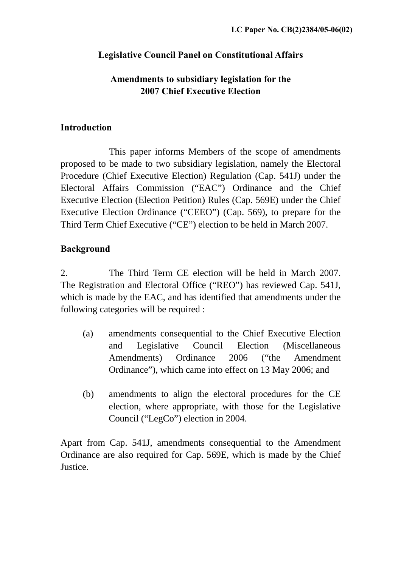# **Legislative Council Panel on Constitutional Affairs**

# **Amendments to subsidiary legislation for the 2007 Chief Executive Election**

### **Introduction**

 This paper informs Members of the scope of amendments proposed to be made to two subsidiary legislation, namely the Electoral Procedure (Chief Executive Election) Regulation (Cap. 541J) under the Electoral Affairs Commission ("EAC") Ordinance and the Chief Executive Election (Election Petition) Rules (Cap. 569E) under the Chief Executive Election Ordinance ("CEEO") (Cap. 569), to prepare for the Third Term Chief Executive ("CE") election to be held in March 2007.

# **Background**

2. The Third Term CE election will be held in March 2007. The Registration and Electoral Office ("REO") has reviewed Cap. 541J, which is made by the EAC, and has identified that amendments under the following categories will be required :

- (a) amendments consequential to the Chief Executive Election and Legislative Council Election (Miscellaneous Amendments) Ordinance 2006 ("the Amendment Ordinance"), which came into effect on 13 May 2006; and
- (b) amendments to align the electoral procedures for the CE election, where appropriate, with those for the Legislative Council ("LegCo") election in 2004.

Apart from Cap. 541J, amendments consequential to the Amendment Ordinance are also required for Cap. 569E, which is made by the Chief Justice.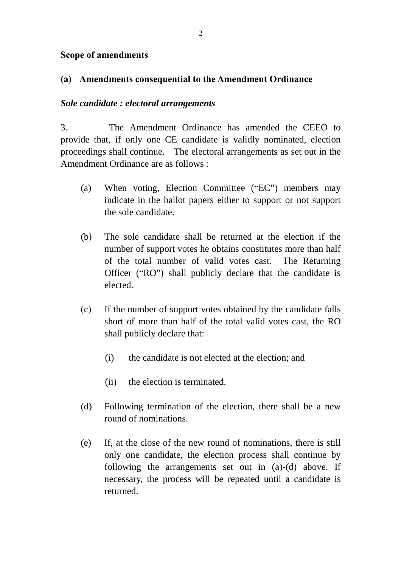#### **Scope of amendments**

#### **(a) Amendments consequential to the Amendment Ordinance**

#### *Sole candidate : electoral arrangements*

3. The Amendment Ordinance has amended the CEEO to provide that, if only one CE candidate is validly nominated, election proceedings shall continue. The electoral arrangements as set out in the Amendment Ordinance are as follows :

- (a) When voting, Election Committee ("EC") members may indicate in the ballot papers either to support or not support the sole candidate.
- (b) The sole candidate shall be returned at the election if the number of support votes he obtains constitutes more than half of the total number of valid votes cast. The Returning Officer ("RO") shall publicly declare that the candidate is elected.
- (c) If the number of support votes obtained by the candidate falls short of more than half of the total valid votes cast, the RO shall publicly declare that:
	- (i) the candidate is not elected at the election; and
	- (ii) the election is terminated.
- (d) Following termination of the election, there shall be a new round of nominations.
- (e) If, at the close of the new round of nominations, there is still only one candidate, the election process shall continue by following the arrangements set out in (a)-(d) above. If necessary, the process will be repeated until a candidate is returned.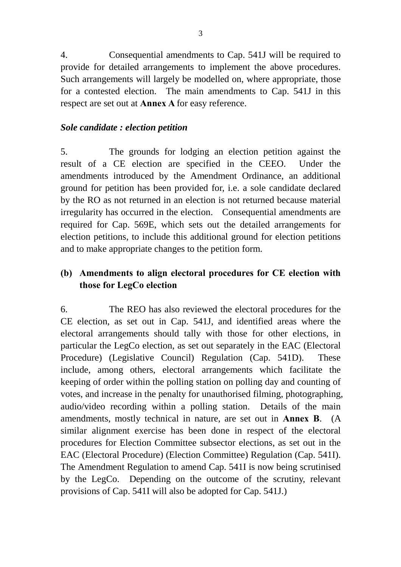4. Consequential amendments to Cap. 541J will be required to provide for detailed arrangements to implement the above procedures. Such arrangements will largely be modelled on, where appropriate, those for a contested election. The main amendments to Cap. 541J in this respect are set out at **Annex A** for easy reference.

#### *Sole candidate : election petition*

5. The grounds for lodging an election petition against the result of a CE election are specified in the CEEO. Under the amendments introduced by the Amendment Ordinance, an additional ground for petition has been provided for, i.e. a sole candidate declared by the RO as not returned in an election is not returned because material irregularity has occurred in the election. Consequential amendments are required for Cap. 569E, which sets out the detailed arrangements for election petitions, to include this additional ground for election petitions and to make appropriate changes to the petition form.

# **(b) Amendments to align electoral procedures for CE election with those for LegCo election**

6. The REO has also reviewed the electoral procedures for the CE election, as set out in Cap. 541J, and identified areas where the electoral arrangements should tally with those for other elections, in particular the LegCo election, as set out separately in the EAC (Electoral Procedure) (Legislative Council) Regulation (Cap. 541D). These include, among others, electoral arrangements which facilitate the keeping of order within the polling station on polling day and counting of votes, and increase in the penalty for unauthorised filming, photographing, audio/video recording within a polling station. Details of the main amendments, mostly technical in nature, are set out in **Annex B**. (A similar alignment exercise has been done in respect of the electoral procedures for Election Committee subsector elections, as set out in the EAC (Electoral Procedure) (Election Committee) Regulation (Cap. 541I). The Amendment Regulation to amend Cap. 541I is now being scrutinised by the LegCo. Depending on the outcome of the scrutiny, relevant provisions of Cap. 541I will also be adopted for Cap. 541J.)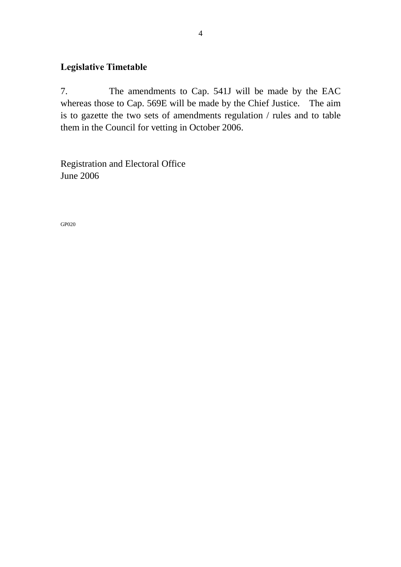# **Legislative Timetable**

7. The amendments to Cap. 541J will be made by the EAC whereas those to Cap. 569E will be made by the Chief Justice. The aim is to gazette the two sets of amendments regulation / rules and to table them in the Council for vetting in October 2006.

Registration and Electoral Office June 2006

GP020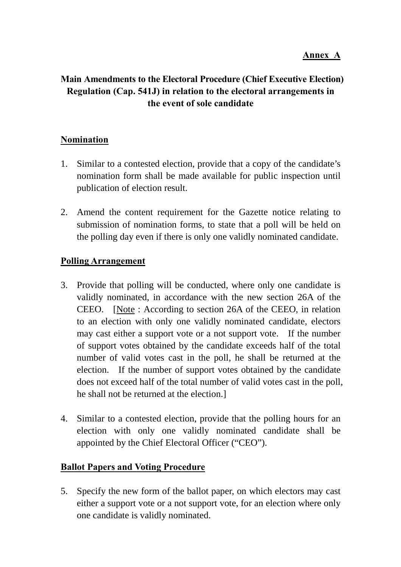# **Main Amendments to the Electoral Procedure (Chief Executive Election) Regulation (Cap. 541J) in relation to the electoral arrangements in the event of sole candidate**

### **Nomination**

- 1. Similar to a contested election, provide that a copy of the candidate's nomination form shall be made available for public inspection until publication of election result.
- 2. Amend the content requirement for the Gazette notice relating to submission of nomination forms, to state that a poll will be held on the polling day even if there is only one validly nominated candidate.

### **Polling Arrangement**

- 3. Provide that polling will be conducted, where only one candidate is validly nominated, in accordance with the new section 26A of the CEEO. [Note : According to section 26A of the CEEO, in relation to an election with only one validly nominated candidate, electors may cast either a support vote or a not support vote. If the number of support votes obtained by the candidate exceeds half of the total number of valid votes cast in the poll, he shall be returned at the election. If the number of support votes obtained by the candidate does not exceed half of the total number of valid votes cast in the poll, he shall not be returned at the election.]
- 4. Similar to a contested election, provide that the polling hours for an election with only one validly nominated candidate shall be appointed by the Chief Electoral Officer ("CEO").

# **Ballot Papers and Voting Procedure**

5. Specify the new form of the ballot paper, on which electors may cast either a support vote or a not support vote, for an election where only one candidate is validly nominated.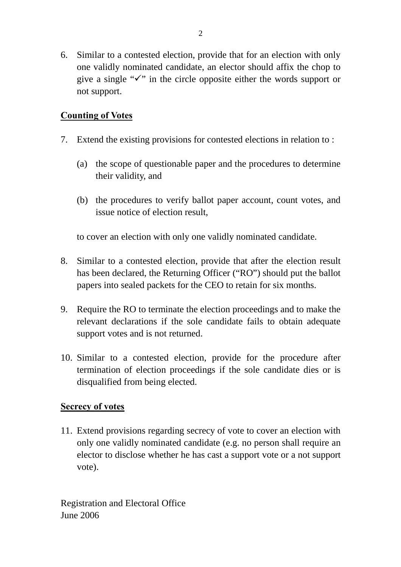6. Similar to a contested election, provide that for an election with only one validly nominated candidate, an elector should affix the chop to give a single " $\checkmark$ " in the circle opposite either the words support or not support.

# **Counting of Votes**

- 7. Extend the existing provisions for contested elections in relation to :
	- (a) the scope of questionable paper and the procedures to determine their validity, and
	- (b) the procedures to verify ballot paper account, count votes, and issue notice of election result,

to cover an election with only one validly nominated candidate.

- 8. Similar to a contested election, provide that after the election result has been declared, the Returning Officer ("RO") should put the ballot papers into sealed packets for the CEO to retain for six months.
- 9. Require the RO to terminate the election proceedings and to make the relevant declarations if the sole candidate fails to obtain adequate support votes and is not returned.
- 10. Similar to a contested election, provide for the procedure after termination of election proceedings if the sole candidate dies or is disqualified from being elected.

#### **Secrecy of votes**

11. Extend provisions regarding secrecy of vote to cover an election with only one validly nominated candidate (e.g. no person shall require an elector to disclose whether he has cast a support vote or a not support vote).

Registration and Electoral Office June 2006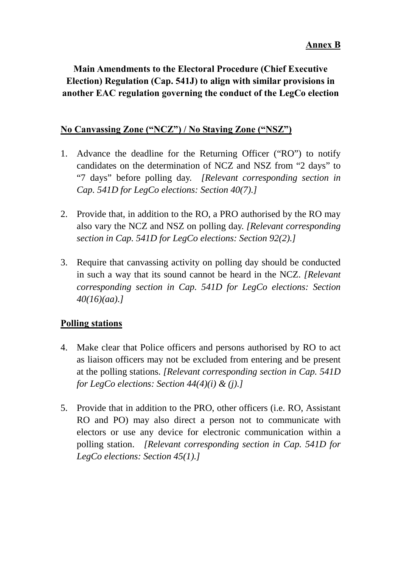# **Main Amendments to the Electoral Procedure (Chief Executive Election) Regulation (Cap. 541J) to align with similar provisions in another EAC regulation governing the conduct of the LegCo election**

# **No Canvassing Zone ("NCZ") / No Staying Zone ("NSZ")**

- 1. Advance the deadline for the Returning Officer ("RO") to notify candidates on the determination of NCZ and NSZ from "2 days" to "7 days" before polling day. *[Relevant corresponding section in Cap. 541D for LegCo elections: Section 40(7).]*
- 2. Provide that, in addition to the RO, a PRO authorised by the RO may also vary the NCZ and NSZ on polling day. *[Relevant corresponding section in Cap. 541D for LegCo elections: Section 92(2).]*
- 3. Require that canvassing activity on polling day should be conducted in such a way that its sound cannot be heard in the NCZ. *[Relevant corresponding section in Cap. 541D for LegCo elections: Section 40(16)(aa).]*

# **Polling stations**

- 4. Make clear that Police officers and persons authorised by RO to act as liaison officers may not be excluded from entering and be present at the polling stations. *[Relevant corresponding section in Cap. 541D for LegCo elections: Section 44(4)(i) & (j).]*
- 5. Provide that in addition to the PRO, other officers (i.e. RO, Assistant RO and PO) may also direct a person not to communicate with electors or use any device for electronic communication within a polling station. *[Relevant corresponding section in Cap. 541D for LegCo elections: Section 45(1).]*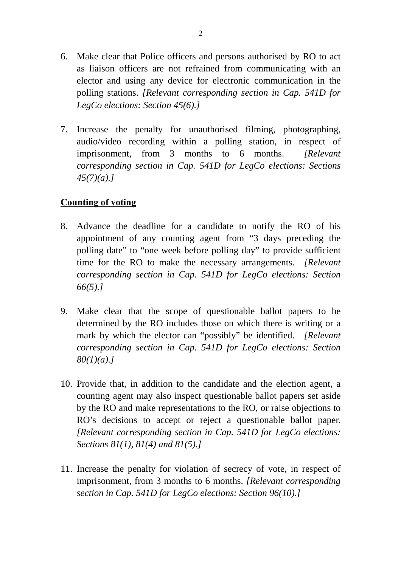- 6. Make clear that Police officers and persons authorised by RO to act as liaison officers are not refrained from communicating with an elector and using any device for electronic communication in the polling stations. *[Relevant corresponding section in Cap. 541D for LegCo elections: Section 45(6).]*
- 7. Increase the penalty for unauthorised filming, photographing, audio/video recording within a polling station, in respect of imprisonment, from 3 months to 6 months. *[Relevant corresponding section in Cap. 541D for LegCo elections: Sections 45(7)(a).]*

# **Counting of voting**

- 8. Advance the deadline for a candidate to notify the RO of his appointment of any counting agent from "3 days preceding the polling date" to "one week before polling day" to provide sufficient time for the RO to make the necessary arrangements. *[Relevant corresponding section in Cap. 541D for LegCo elections: Section 66(5).]*
- 9. Make clear that the scope of questionable ballot papers to be determined by the RO includes those on which there is writing or a mark by which the elector can "possibly" be identified. *[Relevant corresponding section in Cap. 541D for LegCo elections: Section 80(1)(a).]*
- 10. Provide that, in addition to the candidate and the election agent, a counting agent may also inspect questionable ballot papers set aside by the RO and make representations to the RO, or raise objections to RO's decisions to accept or reject a questionable ballot paper. *[Relevant corresponding section in Cap. 541D for LegCo elections: Sections 81(1), 81(4) and 81(5).]*
- 11. Increase the penalty for violation of secrecy of vote, in respect of imprisonment, from 3 months to 6 months. *[Relevant corresponding section in Cap. 541D for LegCo elections: Section 96(10).]*